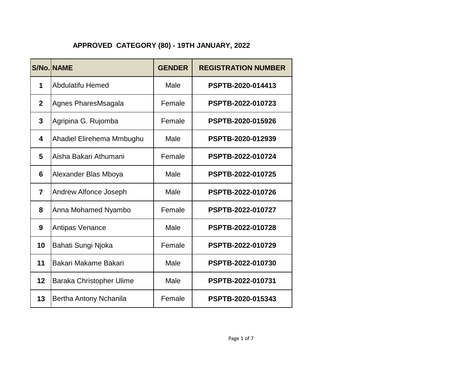|                | <b>S/No. NAME</b>         | <b>GENDER</b> | <b>REGISTRATION NUMBER</b> |
|----------------|---------------------------|---------------|----------------------------|
| 1              | <b>Abdulatifu Hemed</b>   | Male          | PSPTB-2020-014413          |
| $\overline{2}$ | Agnes PharesMsagala       | Female        | PSPTB-2022-010723          |
| 3              | Agripina G. Rujomba       | Female        | PSPTB-2020-015926          |
| 4              | Ahadiel Elirehema Mmbughu | Male          | PSPTB-2020-012939          |
| 5              | Aisha Bakari Athumani     | Female        | PSPTB-2022-010724          |
| 6              | Alexander Blas Mboya      | Male          | PSPTB-2022-010725          |
| $\overline{7}$ | Andrew Alfonce Joseph     | Male          | PSPTB-2022-010726          |
| 8              | Anna Mohamed Nyambo       | Female        | PSPTB-2022-010727          |
| 9              | <b>Antipas Venance</b>    | Male          | PSPTB-2022-010728          |
| 10             | Bahati Sungi Njoka        | Female        | PSPTB-2022-010729          |
| 11             | Bakari Makame Bakari      | Male          | PSPTB-2022-010730          |
| 12             | Baraka Christopher Ulime  | Male          | PSPTB-2022-010731          |
| 13             | Bertha Antony Nchanila    | Female        | PSPTB-2020-015343          |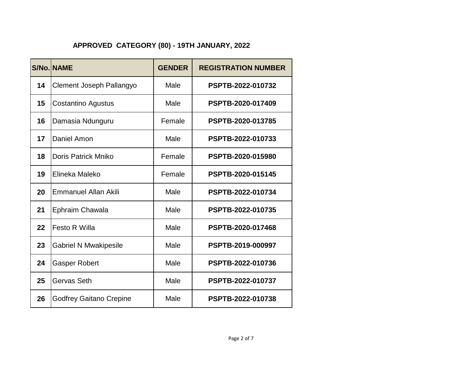|    | <b>S/No. NAME</b>              | <b>GENDER</b> | <b>REGISTRATION NUMBER</b> |
|----|--------------------------------|---------------|----------------------------|
| 14 | Clement Joseph Pallangyo       | Male          | PSPTB-2022-010732          |
| 15 | Costantino Agustus             | Male          | PSPTB-2020-017409          |
| 16 | Damasia Ndunguru               | Female        | PSPTB-2020-013785          |
| 17 | Daniel Amon                    | Male          | PSPTB-2022-010733          |
| 18 | <b>Doris Patrick Mniko</b>     | Female        | PSPTB-2020-015980          |
| 19 | Elineka Maleko                 | Female        | PSPTB-2020-015145          |
| 20 | <b>Emmanuel Allan Akili</b>    | Male          | PSPTB-2022-010734          |
| 21 | Ephraim Chawala                | Male          | PSPTB-2022-010735          |
| 22 | <b>Festo R Willa</b>           | Male          | PSPTB-2020-017468          |
| 23 | <b>Gabriel N Mwakipesile</b>   | Male          | PSPTB-2019-000997          |
| 24 | <b>Gasper Robert</b>           | Male          | PSPTB-2022-010736          |
| 25 | Gervas Seth                    | Male          | PSPTB-2022-010737          |
| 26 | <b>Godfrey Gaitano Crepine</b> | Male          | PSPTB-2022-010738          |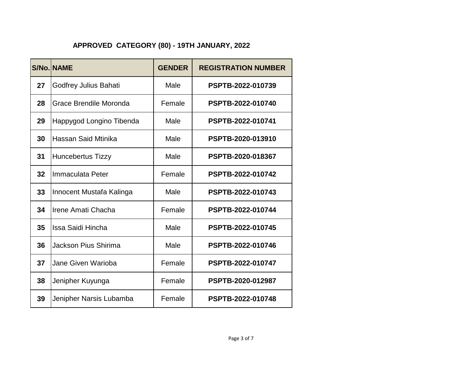|    | <b>S/No. NAME</b>           | <b>GENDER</b> | <b>REGISTRATION NUMBER</b> |
|----|-----------------------------|---------------|----------------------------|
| 27 | Godfrey Julius Bahati       | Male          | PSPTB-2022-010739          |
| 28 | Grace Brendile Moronda      | Female        | PSPTB-2022-010740          |
| 29 | Happygod Longino Tibenda    | Male          | PSPTB-2022-010741          |
| 30 | Hassan Said Mtinika         | Male          | PSPTB-2020-013910          |
| 31 | <b>Huncebertus Tizzy</b>    | Male          | PSPTB-2020-018367          |
| 32 | Immaculata Peter            | Female        | PSPTB-2022-010742          |
| 33 | Innocent Mustafa Kalinga    | Male          | PSPTB-2022-010743          |
| 34 | Irene Amati Chacha          | Female        | PSPTB-2022-010744          |
| 35 | Issa Saidi Hincha           | Male          | PSPTB-2022-010745          |
| 36 | <b>Jackson Pius Shirima</b> | Male          | PSPTB-2022-010746          |
| 37 | Jane Given Warioba          | Female        | PSPTB-2022-010747          |
| 38 | Jenipher Kuyunga            | Female        | PSPTB-2020-012987          |
| 39 | Jenipher Narsis Lubamba     | Female        | PSPTB-2022-010748          |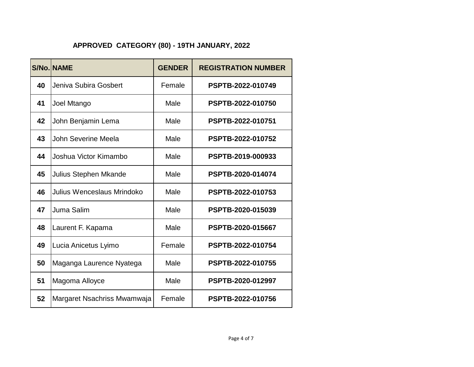|    | <b>S/No. NAME</b>           | <b>GENDER</b> | <b>REGISTRATION NUMBER</b> |
|----|-----------------------------|---------------|----------------------------|
| 40 | Jeniva Subira Gosbert       | Female        | PSPTB-2022-010749          |
| 41 | Joel Mtango                 | Male          | PSPTB-2022-010750          |
| 42 | John Benjamin Lema          | Male          | PSPTB-2022-010751          |
| 43 | John Severine Meela         | Male          | PSPTB-2022-010752          |
| 44 | Joshua Victor Kimambo       | Male          | PSPTB-2019-000933          |
| 45 | Julius Stephen Mkande       | Male          | PSPTB-2020-014074          |
| 46 | Julius Wenceslaus Mrindoko  | Male          | PSPTB-2022-010753          |
| 47 | Juma Salim                  | Male          | PSPTB-2020-015039          |
| 48 | Laurent F. Kapama           | Male          | PSPTB-2020-015667          |
| 49 | Lucia Anicetus Lyimo        | Female        | PSPTB-2022-010754          |
| 50 | Maganga Laurence Nyatega    | Male          | PSPTB-2022-010755          |
| 51 | Magoma Alloyce              | Male          | PSPTB-2020-012997          |
| 52 | Margaret Nsachriss Mwamwaja | Female        | PSPTB-2022-010756          |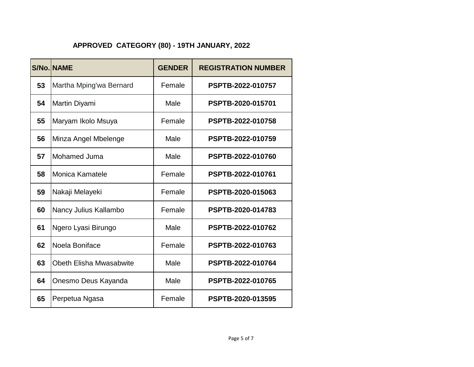|    | <b>S/No. NAME</b>       | <b>GENDER</b> | <b>REGISTRATION NUMBER</b> |
|----|-------------------------|---------------|----------------------------|
| 53 | Martha Mping'wa Bernard | Female        | PSPTB-2022-010757          |
| 54 | Martin Diyami           | Male          | PSPTB-2020-015701          |
| 55 | Maryam Ikolo Msuya      | Female        | PSPTB-2022-010758          |
| 56 | Minza Angel Mbelenge    | Male          | PSPTB-2022-010759          |
| 57 | Mohamed Juma            | Male          | PSPTB-2022-010760          |
| 58 | Monica Kamatele         | Female        | PSPTB-2022-010761          |
| 59 | Nakaji Melayeki         | Female        | PSPTB-2020-015063          |
| 60 | Nancy Julius Kallambo   | Female        | PSPTB-2020-014783          |
| 61 | Ngero Lyasi Birungo     | Male          | PSPTB-2022-010762          |
| 62 | Noela Boniface          | Female        | PSPTB-2022-010763          |
| 63 | Obeth Elisha Mwasabwite | Male          | PSPTB-2022-010764          |
| 64 | Onesmo Deus Kayanda     | Male          | PSPTB-2022-010765          |
| 65 | Perpetua Ngasa          | Female        | PSPTB-2020-013595          |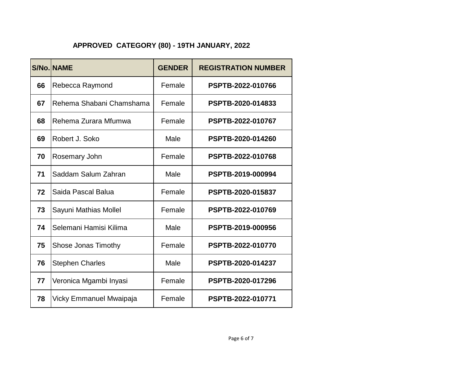|    | <b>S/No. NAME</b>        | <b>GENDER</b> | <b>REGISTRATION NUMBER</b> |
|----|--------------------------|---------------|----------------------------|
| 66 | Rebecca Raymond          | Female        | PSPTB-2022-010766          |
| 67 | Rehema Shabani Chamshama | Female        | PSPTB-2020-014833          |
| 68 | Rehema Zurara Mfumwa     | Female        | PSPTB-2022-010767          |
| 69 | Robert J. Soko           | Male          | PSPTB-2020-014260          |
| 70 | Rosemary John            | Female        | PSPTB-2022-010768          |
| 71 | Saddam Salum Zahran      | Male          | PSPTB-2019-000994          |
| 72 | Saida Pascal Balua       | Female        | PSPTB-2020-015837          |
| 73 | Sayuni Mathias Mollel    | Female        | PSPTB-2022-010769          |
| 74 | Selemani Hamisi Kilima   | Male          | PSPTB-2019-000956          |
| 75 | Shose Jonas Timothy      | Female        | PSPTB-2022-010770          |
| 76 | <b>Stephen Charles</b>   | Male          | PSPTB-2020-014237          |
| 77 | Veronica Mgambi Inyasi   | Female        | PSPTB-2020-017296          |
| 78 | Vicky Emmanuel Mwaipaja  | Female        | PSPTB-2022-010771          |